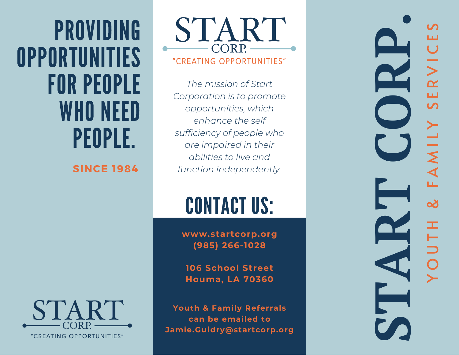**PROVIDING OPPORTUNITIES** FOR PEOPLE WHO NEED PEOPLE.

**SINCE 1984**

CORP.

*The mission of Start Corporation is to promote opportunities, which enhance the self s u ffi c i e n cy o f p e o p l e w h o a r e i m p a i r e d i n t h e i r a b i l i t i e s t o l i ve a n d function independently.* 

# CONTACT US

www.startcorp.org **( 9 8 5 ) 2 6 6 - 1 0 2 8**

106 School Street **H o u m a , L A 7 0 3 6 0**

Youth & Family Referrals **c a n b e e m a i l e d t o** Jamie.Guidry@startcorp.org

**Si** and a start of the start of the start of the start of the start of the start of the start of the start of the start of the start of the start of the start of the start of the start of the start of the start of the sta Y O U T H & F A M I L Y S E R V I C E S